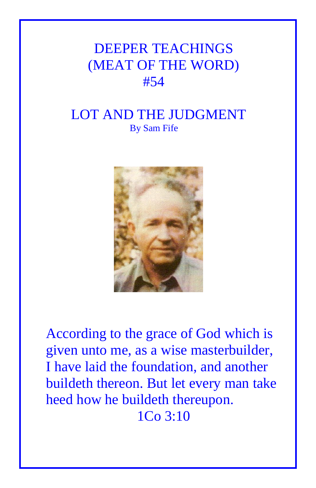## DEEPER TEACHINGS (MEAT OF THE WORD) #54

## LOT AND THE JUDGMENT By Sam Fife



According to the grace of God which is given unto me, as a wise masterbuilder, I have laid the foundation, and another buildeth thereon. But let every man take heed how he buildeth thereupon. 1Co 3:10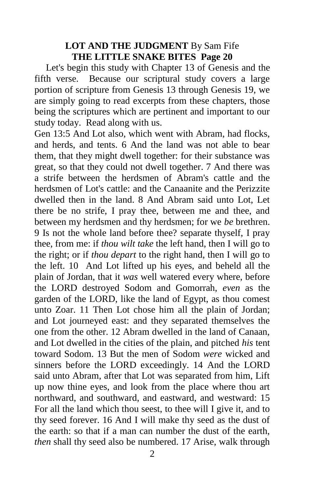## **LOT AND THE JUDGMENT** By Sam Fife **THE LITTLE SNAKE BITES Page 20**

Let's begin this study with Chapter 13 of Genesis and the fifth verse. Because our scriptural study covers a large portion of scripture from Genesis 13 through Genesis 19, we are simply going to read excerpts from these chapters, those being the scriptures which are pertinent and important to our study today. Read along with us.

Gen 13:5 And Lot also, which went with Abram, had flocks, and herds, and tents. 6 And the land was not able to bear them, that they might dwell together: for their substance was great, so that they could not dwell together. 7 And there was a strife between the herdsmen of Abram's cattle and the herdsmen of Lot's cattle: and the Canaanite and the Perizzite dwelled then in the land. 8 And Abram said unto Lot, Let there be no strife, I pray thee, between me and thee, and between my herdsmen and thy herdsmen; for we *be* brethren. 9 Is not the whole land before thee? separate thyself, I pray thee, from me: if *thou wilt take* the left hand, then I will go to the right; or if *thou depart* to the right hand, then I will go to the left. 10 And Lot lifted up his eyes, and beheld all the plain of Jordan, that it *was* well watered every where, before the LORD destroyed Sodom and Gomorrah, *even* as the garden of the LORD, like the land of Egypt, as thou comest unto Zoar. 11 Then Lot chose him all the plain of Jordan; and Lot journeyed east: and they separated themselves the one from the other. 12 Abram dwelled in the land of Canaan, and Lot dwelled in the cities of the plain, and pitched *his* tent toward Sodom. 13 But the men of Sodom *were* wicked and sinners before the LORD exceedingly. 14 And the LORD said unto Abram, after that Lot was separated from him, Lift up now thine eyes, and look from the place where thou art northward, and southward, and eastward, and westward: 15 For all the land which thou seest, to thee will I give it, and to thy seed forever. 16 And I will make thy seed as the dust of the earth: so that if a man can number the dust of the earth, *then* shall thy seed also be numbered. 17 Arise, walk through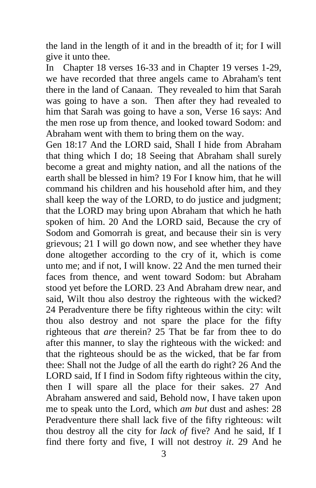the land in the length of it and in the breadth of it; for I will give it unto thee.

In Chapter 18 verses 16-33 and in Chapter 19 verses 1-29, we have recorded that three angels came to Abraham's tent there in the land of Canaan. They revealed to him that Sarah was going to have a son. Then after they had revealed to him that Sarah was going to have a son, Verse 16 says: And the men rose up from thence, and looked toward Sodom: and Abraham went with them to bring them on the way.

Gen 18:17 And the LORD said, Shall I hide from Abraham that thing which I do; 18 Seeing that Abraham shall surely become a great and mighty nation, and all the nations of the earth shall be blessed in him? 19 For I know him, that he will command his children and his household after him, and they shall keep the way of the LORD, to do justice and judgment; that the LORD may bring upon Abraham that which he hath spoken of him. 20 And the LORD said, Because the cry of Sodom and Gomorrah is great, and because their sin is very grievous; 21 I will go down now, and see whether they have done altogether according to the cry of it, which is come unto me; and if not, I will know. 22 And the men turned their faces from thence, and went toward Sodom: but Abraham stood yet before the LORD. 23 And Abraham drew near, and said, Wilt thou also destroy the righteous with the wicked? 24 Peradventure there be fifty righteous within the city: wilt thou also destroy and not spare the place for the fifty righteous that *are* therein? 25 That be far from thee to do after this manner, to slay the righteous with the wicked: and that the righteous should be as the wicked, that be far from thee: Shall not the Judge of all the earth do right? 26 And the LORD said, If I find in Sodom fifty righteous within the city, then I will spare all the place for their sakes. 27 And Abraham answered and said, Behold now, I have taken upon me to speak unto the Lord, which *am but* dust and ashes: 28 Peradventure there shall lack five of the fifty righteous: wilt thou destroy all the city for *lack of* five? And he said, If I find there forty and five, I will not destroy *it*. 29 And he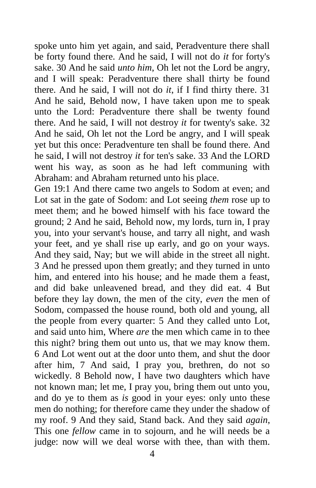spoke unto him yet again, and said, Peradventure there shall be forty found there. And he said, I will not do *it* for forty's sake. 30 And he said *unto him*, Oh let not the Lord be angry, and I will speak: Peradventure there shall thirty be found there. And he said, I will not do *it*, if I find thirty there. 31 And he said, Behold now, I have taken upon me to speak unto the Lord: Peradventure there shall be twenty found there. And he said, I will not destroy *it* for twenty's sake. 32 And he said, Oh let not the Lord be angry, and I will speak yet but this once: Peradventure ten shall be found there. And he said, I will not destroy *it* for ten's sake. 33 And the LORD went his way, as soon as he had left communing with Abraham: and Abraham returned unto his place.

Gen 19:1 And there came two angels to Sodom at even; and Lot sat in the gate of Sodom: and Lot seeing *them* rose up to meet them; and he bowed himself with his face toward the ground; 2 And he said, Behold now, my lords, turn in, I pray you, into your servant's house, and tarry all night, and wash your feet, and ye shall rise up early, and go on your ways. And they said, Nay; but we will abide in the street all night. 3 And he pressed upon them greatly; and they turned in unto him, and entered into his house; and he made them a feast, and did bake unleavened bread, and they did eat. 4 But before they lay down, the men of the city, *even* the men of Sodom, compassed the house round, both old and young, all the people from every quarter: 5 And they called unto Lot, and said unto him, Where *are* the men which came in to thee this night? bring them out unto us, that we may know them. 6 And Lot went out at the door unto them, and shut the door after him, 7 And said, I pray you, brethren, do not so wickedly. 8 Behold now, I have two daughters which have not known man; let me, I pray you, bring them out unto you, and do ye to them as *is* good in your eyes: only unto these men do nothing; for therefore came they under the shadow of my roof. 9 And they said, Stand back. And they said *again*, This one *fellow* came in to sojourn, and he will needs be a judge: now will we deal worse with thee, than with them.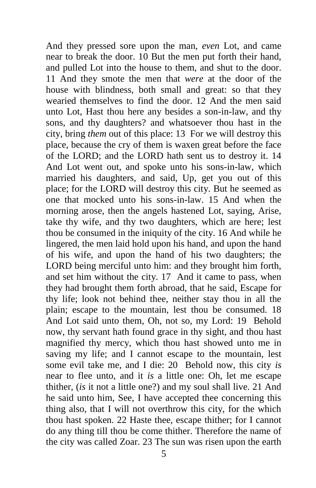And they pressed sore upon the man, *even* Lot, and came near to break the door. 10 But the men put forth their hand, and pulled Lot into the house to them, and shut to the door. 11 And they smote the men that *were* at the door of the house with blindness, both small and great: so that they wearied themselves to find the door. 12 And the men said unto Lot, Hast thou here any besides a son-in-law, and thy sons, and thy daughters? and whatsoever thou hast in the city, bring *them* out of this place: 13 For we will destroy this place, because the cry of them is waxen great before the face of the LORD; and the LORD hath sent us to destroy it. 14 And Lot went out, and spoke unto his sons-in-law, which married his daughters, and said, Up, get you out of this place; for the LORD will destroy this city. But he seemed as one that mocked unto his sons-in-law. 15 And when the morning arose, then the angels hastened Lot, saying, Arise, take thy wife, and thy two daughters, which are here; lest thou be consumed in the iniquity of the city. 16 And while he lingered, the men laid hold upon his hand, and upon the hand of his wife, and upon the hand of his two daughters; the LORD being merciful unto him: and they brought him forth, and set him without the city. 17 And it came to pass, when they had brought them forth abroad, that he said, Escape for thy life; look not behind thee, neither stay thou in all the plain; escape to the mountain, lest thou be consumed. 18 And Lot said unto them, Oh, not so, my Lord: 19 Behold now, thy servant hath found grace in thy sight, and thou hast magnified thy mercy, which thou hast showed unto me in saving my life; and I cannot escape to the mountain, lest some evil take me, and I die: 20 Behold now, this city *is* near to flee unto, and it *is* a little one: Oh, let me escape thither, (*is* it not a little one?) and my soul shall live. 21 And he said unto him, See, I have accepted thee concerning this thing also, that I will not overthrow this city, for the which thou hast spoken. 22 Haste thee, escape thither; for I cannot do any thing till thou be come thither. Therefore the name of the city was called Zoar. 23 The sun was risen upon the earth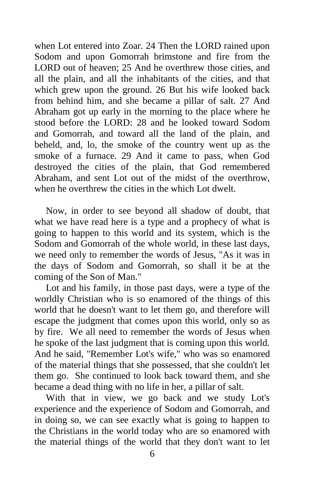when Lot entered into Zoar. 24 Then the LORD rained upon Sodom and upon Gomorrah brimstone and fire from the LORD out of heaven; 25 And he overthrew those cities, and all the plain, and all the inhabitants of the cities, and that which grew upon the ground. 26 But his wife looked back from behind him, and she became a pillar of salt. 27 And Abraham got up early in the morning to the place where he stood before the LORD: 28 and he looked toward Sodom and Gomorrah, and toward all the land of the plain, and beheld, and, lo, the smoke of the country went up as the smoke of a furnace. 29 And it came to pass, when God destroyed the cities of the plain, that God remembered Abraham, and sent Lot out of the midst of the overthrow, when he overthrew the cities in the which Lot dwelt.

Now, in order to see beyond all shadow of doubt, that what we have read here is a type and a prophecy of what is going to happen to this world and its system, which is the Sodom and Gomorrah of the whole world, in these last days, we need only to remember the words of Jesus, "As it was in the days of Sodom and Gomorrah, so shall it be at the coming of the Son of Man."

Lot and his family, in those past days, were a type of the worldly Christian who is so enamored of the things of this world that he doesn't want to let them go, and therefore will escape the judgment that comes upon this world, only so as by fire. We all need to remember the words of Jesus when he spoke of the last judgment that is coming upon this world. And he said, "Remember Lot's wife," who was so enamored of the material things that she possessed, that she couldn't let them go. She continued to look back toward them, and she became a dead thing with no life in her, a pillar of salt.

With that in view, we go back and we study Lot's experience and the experience of Sodom and Gomorrah, and in doing so, we can see exactly what is going to happen to the Christians in the world today who are so enamored with the material things of the world that they don't want to let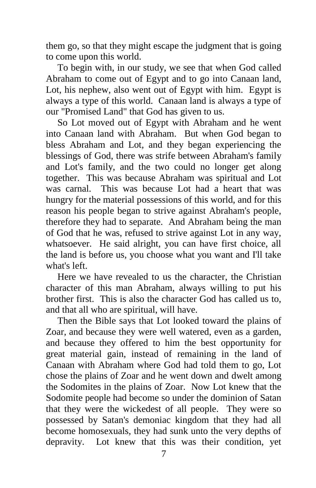them go, so that they might escape the judgment that is going to come upon this world.

To begin with, in our study, we see that when God called Abraham to come out of Egypt and to go into Canaan land, Lot, his nephew, also went out of Egypt with him. Egypt is always a type of this world. Canaan land is always a type of our "Promised Land" that God has given to us.

So Lot moved out of Egypt with Abraham and he went into Canaan land with Abraham. But when God began to bless Abraham and Lot, and they began experiencing the blessings of God, there was strife between Abraham's family and Lot's family, and the two could no longer get along together. This was because Abraham was spiritual and Lot was carnal. This was because Lot had a heart that was hungry for the material possessions of this world, and for this reason his people began to strive against Abraham's people, therefore they had to separate. And Abraham being the man of God that he was, refused to strive against Lot in any way, whatsoever. He said alright, you can have first choice, all the land is before us, you choose what you want and I'll take what's left.

Here we have revealed to us the character, the Christian character of this man Abraham, always willing to put his brother first. This is also the character God has called us to, and that all who are spiritual, will have.

Then the Bible says that Lot looked toward the plains of Zoar, and because they were well watered, even as a garden, and because they offered to him the best opportunity for great material gain, instead of remaining in the land of Canaan with Abraham where God had told them to go, Lot chose the plains of Zoar and he went down and dwelt among the Sodomites in the plains of Zoar. Now Lot knew that the Sodomite people had become so under the dominion of Satan that they were the wickedest of all people. They were so possessed by Satan's demoniac kingdom that they had all become homosexuals, they had sunk unto the very depths of depravity. Lot knew that this was their condition, yet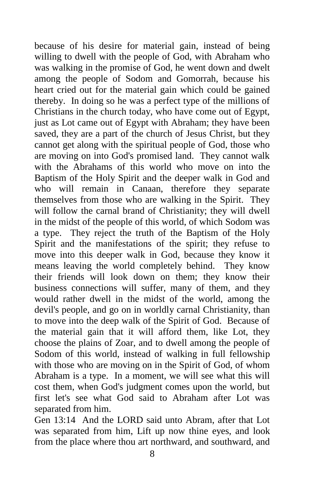because of his desire for material gain, instead of being willing to dwell with the people of God, with Abraham who was walking in the promise of God, he went down and dwelt among the people of Sodom and Gomorrah, because his heart cried out for the material gain which could be gained thereby. In doing so he was a perfect type of the millions of Christians in the church today, who have come out of Egypt, just as Lot came out of Egypt with Abraham; they have been saved, they are a part of the church of Jesus Christ, but they cannot get along with the spiritual people of God, those who are moving on into God's promised land. They cannot walk with the Abrahams of this world who move on into the Baptism of the Holy Spirit and the deeper walk in God and who will remain in Canaan, therefore they separate themselves from those who are walking in the Spirit. They will follow the carnal brand of Christianity; they will dwell in the midst of the people of this world, of which Sodom was a type. They reject the truth of the Baptism of the Holy Spirit and the manifestations of the spirit; they refuse to move into this deeper walk in God, because they know it means leaving the world completely behind. They know their friends will look down on them; they know their business connections will suffer, many of them, and they would rather dwell in the midst of the world, among the devil's people, and go on in worldly carnal Christianity, than to move into the deep walk of the Spirit of God. Because of the material gain that it will afford them, like Lot, they choose the plains of Zoar, and to dwell among the people of Sodom of this world, instead of walking in full fellowship with those who are moving on in the Spirit of God, of whom Abraham is a type. In a moment, we will see what this will cost them, when God's judgment comes upon the world, but first let's see what God said to Abraham after Lot was separated from him.

Gen 13:14 And the LORD said unto Abram, after that Lot was separated from him, Lift up now thine eyes, and look from the place where thou art northward, and southward, and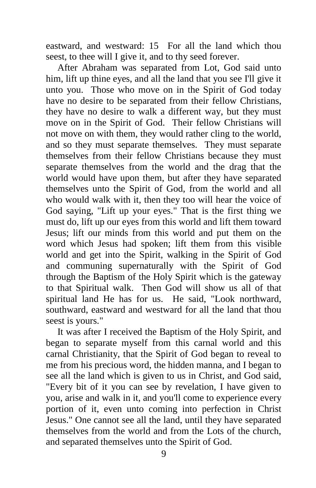eastward, and westward: 15 For all the land which thou seest, to thee will I give it, and to thy seed forever.

After Abraham was separated from Lot, God said unto him, lift up thine eyes, and all the land that you see I'll give it unto you. Those who move on in the Spirit of God today have no desire to be separated from their fellow Christians, they have no desire to walk a different way, but they must move on in the Spirit of God. Their fellow Christians will not move on with them, they would rather cling to the world, and so they must separate themselves. They must separate themselves from their fellow Christians because they must separate themselves from the world and the drag that the world would have upon them, but after they have separated themselves unto the Spirit of God, from the world and all who would walk with it, then they too will hear the voice of God saying, "Lift up your eyes." That is the first thing we must do, lift up our eyes from this world and lift them toward Jesus; lift our minds from this world and put them on the word which Jesus had spoken; lift them from this visible world and get into the Spirit, walking in the Spirit of God and communing supernaturally with the Spirit of God through the Baptism of the Holy Spirit which is the gateway to that Spiritual walk. Then God will show us all of that spiritual land He has for us. He said, "Look northward, southward, eastward and westward for all the land that thou seest is yours."

It was after I received the Baptism of the Holy Spirit, and began to separate myself from this carnal world and this carnal Christianity, that the Spirit of God began to reveal to me from his precious word, the hidden manna, and I began to see all the land which is given to us in Christ, and God said, "Every bit of it you can see by revelation, I have given to you, arise and walk in it, and you'll come to experience every portion of it, even unto coming into perfection in Christ Jesus." One cannot see all the land, until they have separated themselves from the world and from the Lots of the church, and separated themselves unto the Spirit of God.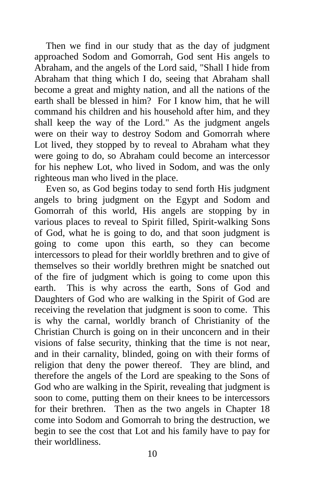Then we find in our study that as the day of judgment approached Sodom and Gomorrah, God sent His angels to Abraham, and the angels of the Lord said, "Shall I hide from Abraham that thing which I do, seeing that Abraham shall become a great and mighty nation, and all the nations of the earth shall be blessed in him? For I know him, that he will command his children and his household after him, and they shall keep the way of the Lord." As the judgment angels were on their way to destroy Sodom and Gomorrah where Lot lived, they stopped by to reveal to Abraham what they were going to do, so Abraham could become an intercessor for his nephew Lot, who lived in Sodom, and was the only righteous man who lived in the place.

Even so, as God begins today to send forth His judgment angels to bring judgment on the Egypt and Sodom and Gomorrah of this world, His angels are stopping by in various places to reveal to Spirit filled, Spirit-walking Sons of God, what he is going to do, and that soon judgment is going to come upon this earth, so they can become intercessors to plead for their worldly brethren and to give of themselves so their worldly brethren might be snatched out of the fire of judgment which is going to come upon this earth. This is why across the earth, Sons of God and Daughters of God who are walking in the Spirit of God are receiving the revelation that judgment is soon to come. This is why the carnal, worldly branch of Christianity of the Christian Church is going on in their unconcern and in their visions of false security, thinking that the time is not near, and in their carnality, blinded, going on with their forms of religion that deny the power thereof. They are blind, and therefore the angels of the Lord are speaking to the Sons of God who are walking in the Spirit, revealing that judgment is soon to come, putting them on their knees to be intercessors for their brethren. Then as the two angels in Chapter 18 come into Sodom and Gomorrah to bring the destruction, we begin to see the cost that Lot and his family have to pay for their worldliness.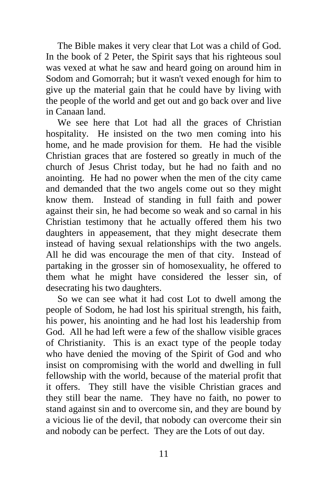The Bible makes it very clear that Lot was a child of God. In the book of 2 Peter, the Spirit says that his righteous soul was vexed at what he saw and heard going on around him in Sodom and Gomorrah; but it wasn't vexed enough for him to give up the material gain that he could have by living with the people of the world and get out and go back over and live in Canaan land.

We see here that Lot had all the graces of Christian hospitality. He insisted on the two men coming into his home, and he made provision for them. He had the visible Christian graces that are fostered so greatly in much of the church of Jesus Christ today, but he had no faith and no anointing. He had no power when the men of the city came and demanded that the two angels come out so they might know them. Instead of standing in full faith and power against their sin, he had become so weak and so carnal in his Christian testimony that he actually offered them his two daughters in appeasement, that they might desecrate them instead of having sexual relationships with the two angels. All he did was encourage the men of that city. Instead of partaking in the grosser sin of homosexuality, he offered to them what he might have considered the lesser sin, of desecrating his two daughters.

So we can see what it had cost Lot to dwell among the people of Sodom, he had lost his spiritual strength, his faith, his power, his anointing and he had lost his leadership from God. All he had left were a few of the shallow visible graces of Christianity. This is an exact type of the people today who have denied the moving of the Spirit of God and who insist on compromising with the world and dwelling in full fellowship with the world, because of the material profit that it offers. They still have the visible Christian graces and they still bear the name. They have no faith, no power to stand against sin and to overcome sin, and they are bound by a vicious lie of the devil, that nobody can overcome their sin and nobody can be perfect. They are the Lots of out day.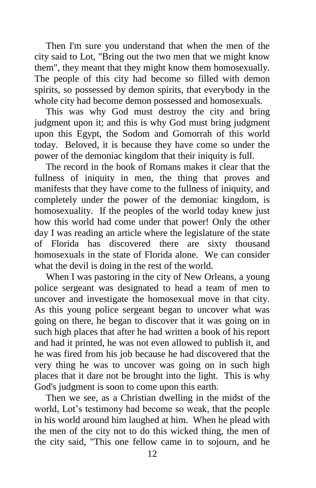Then I'm sure you understand that when the men of the city said to Lot, "Bring out the two men that we might know them", they meant that they might know them homosexually. The people of this city had become so filled with demon spirits, so possessed by demon spirits, that everybody in the whole city had become demon possessed and homosexuals.

This was why God must destroy the city and bring judgment upon it; and this is why God must bring judgment upon this Egypt, the Sodom and Gomorrah of this world today. Beloved, it is because they have come so under the power of the demoniac kingdom that their iniquity is full.

The record in the book of Romans makes it clear that the fullness of iniquity in men, the thing that proves and manifests that they have come to the fullness of iniquity, and completely under the power of the demoniac kingdom, is homosexuality. If the peoples of the world today knew just how this world had come under that power! Only the other day I was reading an article where the legislature of the state of Florida has discovered there are sixty thousand homosexuals in the state of Florida alone. We can consider what the devil is doing in the rest of the world.

When I was pastoring in the city of New Orleans, a young police sergeant was designated to head a team of men to uncover and investigate the homosexual move in that city. As this young police sergeant began to uncover what was going on there, he began to discover that it was going on in such high places that after he had written a book of his report and had it printed, he was not even allowed to publish it, and he was fired from his job because he had discovered that the very thing he was to uncover was going on in such high places that it dare not be brought into the light. This is why God's judgment is soon to come upon this earth.

Then we see, as a Christian dwelling in the midst of the world, Lot's testimony had become so weak, that the people in his world around him laughed at him. When he plead with the men of the city not to do this wicked thing, the men of the city said, "This one fellow came in to sojourn, and he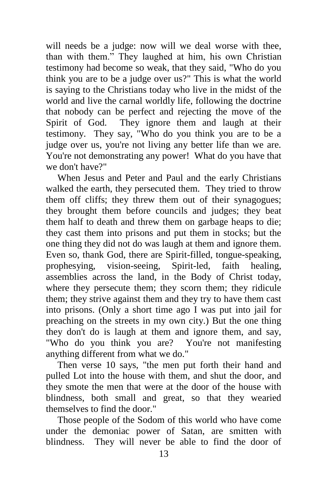will needs be a judge: now will we deal worse with thee, than with them." They laughed at him, his own Christian testimony had become so weak, that they said, "Who do you think you are to be a judge over us?" This is what the world is saying to the Christians today who live in the midst of the world and live the carnal worldly life, following the doctrine that nobody can be perfect and rejecting the move of the Spirit of God. They ignore them and laugh at their testimony. They say, "Who do you think you are to be a judge over us, you're not living any better life than we are. You're not demonstrating any power! What do you have that we don't have?"

When Jesus and Peter and Paul and the early Christians walked the earth, they persecuted them. They tried to throw them off cliffs; they threw them out of their synagogues; they brought them before councils and judges; they beat them half to death and threw them on garbage heaps to die; they cast them into prisons and put them in stocks; but the one thing they did not do was laugh at them and ignore them. Even so, thank God, there are Spirit-filled, tongue-speaking, prophesying, vision-seeing, Spirit-led, faith healing, assemblies across the land, in the Body of Christ today, where they persecute them; they scorn them; they ridicule them; they strive against them and they try to have them cast into prisons. (Only a short time ago I was put into jail for preaching on the streets in my own city.) But the one thing they don't do is laugh at them and ignore them, and say, "Who do you think you are? You're not manifesting anything different from what we do."

Then verse 10 says, "the men put forth their hand and pulled Lot into the house with them, and shut the door, and they smote the men that were at the door of the house with blindness, both small and great, so that they wearied themselves to find the door."

Those people of the Sodom of this world who have come under the demoniac power of Satan, are smitten with blindness. They will never be able to find the door of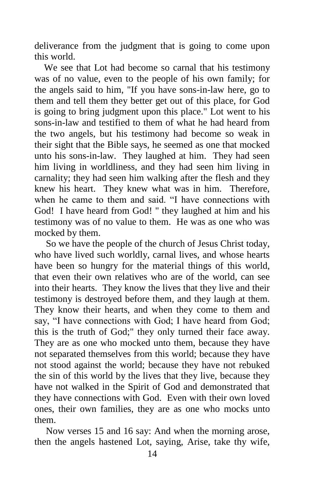deliverance from the judgment that is going to come upon this world.

 We see that Lot had become so carnal that his testimony was of no value, even to the people of his own family; for the angels said to him, "If you have sons-in-law here, go to them and tell them they better get out of this place, for God is going to bring judgment upon this place." Lot went to his sons-in-law and testified to them of what he had heard from the two angels, but his testimony had become so weak in their sight that the Bible says, he seemed as one that mocked unto his sons-in-law. They laughed at him. They had seen him living in worldliness, and they had seen him living in carnality; they had seen him walking after the flesh and they knew his heart. They knew what was in him. Therefore, when he came to them and said. "I have connections with God! I have heard from God! " they laughed at him and his testimony was of no value to them. He was as one who was mocked by them.

So we have the people of the church of Jesus Christ today, who have lived such worldly, carnal lives, and whose hearts have been so hungry for the material things of this world, that even their own relatives who are of the world, can see into their hearts. They know the lives that they live and their testimony is destroyed before them, and they laugh at them. They know their hearts, and when they come to them and say, "I have connections with God; I have heard from God; this is the truth of God;" they only turned their face away. They are as one who mocked unto them, because they have not separated themselves from this world; because they have not stood against the world; because they have not rebuked the sin of this world by the lives that they live, because they have not walked in the Spirit of God and demonstrated that they have connections with God. Even with their own loved ones, their own families, they are as one who mocks unto them.

Now verses 15 and 16 say: And when the morning arose, then the angels hastened Lot, saying, Arise, take thy wife,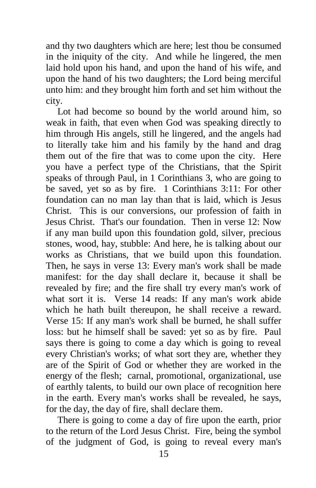and thy two daughters which are here; lest thou be consumed in the iniquity of the city. And while he lingered, the men laid hold upon his hand, and upon the hand of his wife, and upon the hand of his two daughters; the Lord being merciful unto him: and they brought him forth and set him without the city.

Lot had become so bound by the world around him, so weak in faith, that even when God was speaking directly to him through His angels, still he lingered, and the angels had to literally take him and his family by the hand and drag them out of the fire that was to come upon the city. Here you have a perfect type of the Christians, that the Spirit speaks of through Paul, in 1 Corinthians 3, who are going to be saved, yet so as by fire. 1 Corinthians 3:11: For other foundation can no man lay than that is laid, which is Jesus Christ. This is our conversions, our profession of faith in Jesus Christ. That's our foundation. Then in verse 12: Now if any man build upon this foundation gold, silver, precious stones, wood, hay, stubble: And here, he is talking about our works as Christians, that we build upon this foundation. Then, he says in verse 13: Every man's work shall be made manifest: for the day shall declare it, because it shall be revealed by fire; and the fire shall try every man's work of what sort it is. Verse 14 reads: If any man's work abide which he hath built thereupon, he shall receive a reward. Verse 15: If any man's work shall be burned, he shall suffer loss: but he himself shall be saved: yet so as by fire. Paul says there is going to come a day which is going to reveal every Christian's works; of what sort they are, whether they are of the Spirit of God or whether they are worked in the energy of the flesh; carnal, promotional, organizational, use of earthly talents, to build our own place of recognition here in the earth. Every man's works shall be revealed, he says, for the day, the day of fire, shall declare them.

There is going to come a day of fire upon the earth, prior to the return of the Lord Jesus Christ. Fire, being the symbol of the judgment of God, is going to reveal every man's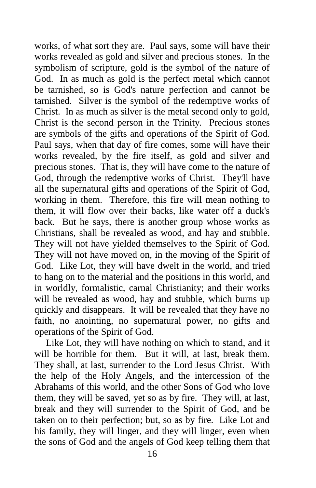works, of what sort they are. Paul says, some will have their works revealed as gold and silver and precious stones. In the symbolism of scripture, gold is the symbol of the nature of God. In as much as gold is the perfect metal which cannot be tarnished, so is God's nature perfection and cannot be tarnished. Silver is the symbol of the redemptive works of Christ. In as much as silver is the metal second only to gold, Christ is the second person in the Trinity. Precious stones are symbols of the gifts and operations of the Spirit of God. Paul says, when that day of fire comes, some will have their works revealed, by the fire itself, as gold and silver and precious stones. That is, they will have come to the nature of God, through the redemptive works of Christ. They'll have all the supernatural gifts and operations of the Spirit of God, working in them. Therefore, this fire will mean nothing to them, it will flow over their backs, like water off a duck's back. But he says, there is another group whose works as Christians, shall be revealed as wood, and hay and stubble. They will not have yielded themselves to the Spirit of God. They will not have moved on, in the moving of the Spirit of God. Like Lot, they will have dwelt in the world, and tried to hang on to the material and the positions in this world, and in worldly, formalistic, carnal Christianity; and their works will be revealed as wood, hay and stubble, which burns up quickly and disappears. It will be revealed that they have no faith, no anointing, no supernatural power, no gifts and operations of the Spirit of God.

Like Lot, they will have nothing on which to stand, and it will be horrible for them. But it will, at last, break them. They shall, at last, surrender to the Lord Jesus Christ. With the help of the Holy Angels, and the intercession of the Abrahams of this world, and the other Sons of God who love them, they will be saved, yet so as by fire. They will, at last, break and they will surrender to the Spirit of God, and be taken on to their perfection; but, so as by fire. Like Lot and his family, they will linger, and they will linger, even when the sons of God and the angels of God keep telling them that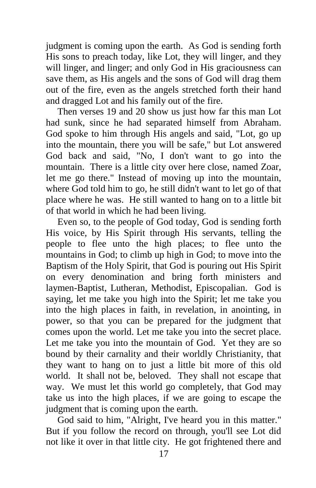judgment is coming upon the earth. As God is sending forth His sons to preach today, like Lot, they will linger, and they will linger, and linger; and only God in His graciousness can save them, as His angels and the sons of God will drag them out of the fire, even as the angels stretched forth their hand and dragged Lot and his family out of the fire.

Then verses 19 and 20 show us just how far this man Lot had sunk, since he had separated himself from Abraham. God spoke to him through His angels and said, "Lot, go up into the mountain, there you will be safe," but Lot answered God back and said, "No, I don't want to go into the mountain. There is a little city over here close, named Zoar, let me go there." Instead of moving up into the mountain, where God told him to go, he still didn't want to let go of that place where he was. He still wanted to hang on to a little bit of that world in which he had been living.

Even so, to the people of God today, God is sending forth His voice, by His Spirit through His servants, telling the people to flee unto the high places; to flee unto the mountains in God; to climb up high in God; to move into the Baptism of the Holy Spirit, that God is pouring out His Spirit on every denomination and bring forth ministers and laymen-Baptist, Lutheran, Methodist, Episcopalian. God is saying, let me take you high into the Spirit; let me take you into the high places in faith, in revelation, in anointing, in power, so that you can be prepared for the judgment that comes upon the world. Let me take you into the secret place. Let me take you into the mountain of God. Yet they are so bound by their carnality and their worldly Christianity, that they want to hang on to just a little bit more of this old world. It shall not be, beloved. They shall not escape that way. We must let this world go completely, that God may take us into the high places, if we are going to escape the judgment that is coming upon the earth.

God said to him, "Alright, I've heard you in this matter." But if you follow the record on through, you'll see Lot did not like it over in that little city. He got frightened there and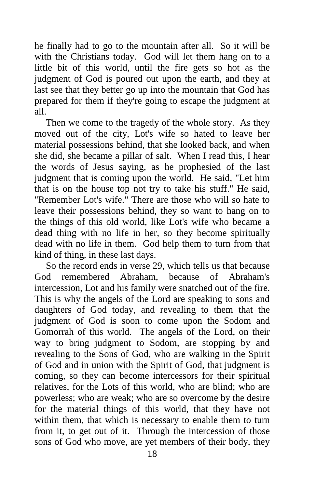he finally had to go to the mountain after all. So it will be with the Christians today. God will let them hang on to a little bit of this world, until the fire gets so hot as the judgment of God is poured out upon the earth, and they at last see that they better go up into the mountain that God has prepared for them if they're going to escape the judgment at all.

Then we come to the tragedy of the whole story. As they moved out of the city, Lot's wife so hated to leave her material possessions behind, that she looked back, and when she did, she became a pillar of salt. When I read this, I hear the words of Jesus saying, as he prophesied of the last judgment that is coming upon the world. He said, "Let him that is on the house top not try to take his stuff." He said, "Remember Lot's wife." There are those who will so hate to leave their possessions behind, they so want to hang on to the things of this old world, like Lot's wife who became a dead thing with no life in her, so they become spiritually dead with no life in them. God help them to turn from that kind of thing, in these last days.

So the record ends in verse 29, which tells us that because God remembered Abraham, because of Abraham's intercession, Lot and his family were snatched out of the fire. This is why the angels of the Lord are speaking to sons and daughters of God today, and revealing to them that the judgment of God is soon to come upon the Sodom and Gomorrah of this world. The angels of the Lord, on their way to bring judgment to Sodom, are stopping by and revealing to the Sons of God, who are walking in the Spirit of God and in union with the Spirit of God, that judgment is coming, so they can become intercessors for their spiritual relatives, for the Lots of this world, who are blind; who are powerless; who are weak; who are so overcome by the desire for the material things of this world, that they have not within them, that which is necessary to enable them to turn from it, to get out of it. Through the intercession of those sons of God who move, are yet members of their body, they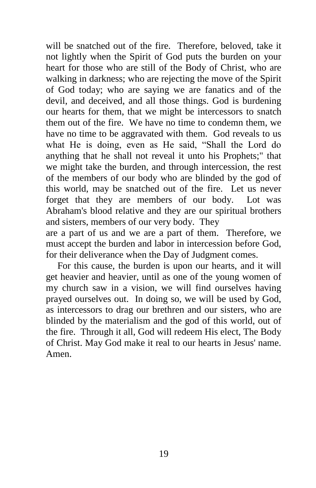will be snatched out of the fire. Therefore, beloved, take it not lightly when the Spirit of God puts the burden on your heart for those who are still of the Body of Christ, who are walking in darkness; who are rejecting the move of the Spirit of God today; who are saying we are fanatics and of the devil, and deceived, and all those things. God is burdening our hearts for them, that we might be intercessors to snatch them out of the fire. We have no time to condemn them, we have no time to be aggravated with them. God reveals to us what He is doing, even as He said, "Shall the Lord do anything that he shall not reveal it unto his Prophets;" that we might take the burden, and through intercession, the rest of the members of our body who are blinded by the god of this world, may be snatched out of the fire. Let us never forget that they are members of our body. Lot was Abraham's blood relative and they are our spiritual brothers and sisters, members of our very body. They

are a part of us and we are a part of them. Therefore, we must accept the burden and labor in intercession before God, for their deliverance when the Day of Judgment comes.

For this cause, the burden is upon our hearts, and it will get heavier and heavier, until as one of the young women of my church saw in a vision, we will find ourselves having prayed ourselves out. In doing so, we will be used by God, as intercessors to drag our brethren and our sisters, who are blinded by the materialism and the god of this world, out of the fire. Through it all, God will redeem His elect, The Body of Christ. May God make it real to our hearts in Jesus' name. Amen.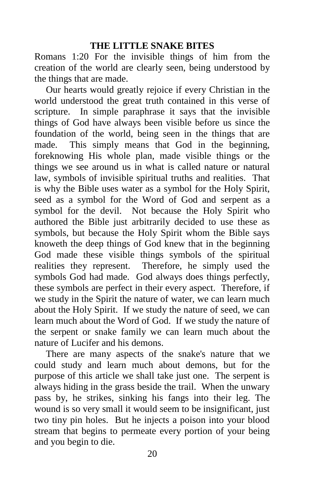## **THE LITTLE SNAKE BITES**

Romans 1:20 For the invisible things of him from the creation of the world are clearly seen, being understood by the things that are made.

Our hearts would greatly rejoice if every Christian in the world understood the great truth contained in this verse of scripture. In simple paraphrase it says that the invisible things of God have always been visible before us since the foundation of the world, being seen in the things that are made. This simply means that God in the beginning, foreknowing His whole plan, made visible things or the things we see around us in what is called nature or natural law, symbols of invisible spiritual truths and realities. That is why the Bible uses water as a symbol for the Holy Spirit, seed as a symbol for the Word of God and serpent as a symbol for the devil. Not because the Holy Spirit who authored the Bible just arbitrarily decided to use these as symbols, but because the Holy Spirit whom the Bible says knoweth the deep things of God knew that in the beginning God made these visible things symbols of the spiritual realities they represent. Therefore, he simply used the symbols God had made. God always does things perfectly, these symbols are perfect in their every aspect. Therefore, if we study in the Spirit the nature of water, we can learn much about the Holy Spirit. If we study the nature of seed, we can learn much about the Word of God. If we study the nature of the serpent or snake family we can learn much about the nature of Lucifer and his demons.

There are many aspects of the snake's nature that we could study and learn much about demons, but for the purpose of this article we shall take just one. The serpent is always hiding in the grass beside the trail. When the unwary pass by, he strikes, sinking his fangs into their leg. The wound is so very small it would seem to be insignificant, just two tiny pin holes. But he injects a poison into your blood stream that begins to permeate every portion of your being and you begin to die.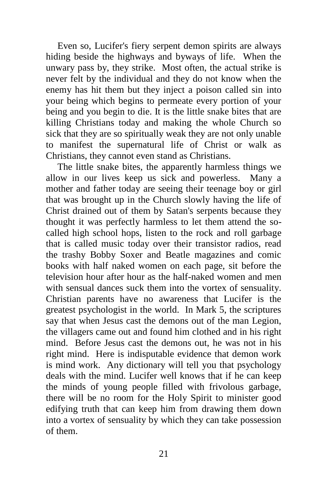Even so, Lucifer's fiery serpent demon spirits are always hiding beside the highways and byways of life. When the unwary pass by, they strike. Most often, the actual strike is never felt by the individual and they do not know when the enemy has hit them but they inject a poison called sin into your being which begins to permeate every portion of your being and you begin to die. It is the little snake bites that are killing Christians today and making the whole Church so sick that they are so spiritually weak they are not only unable to manifest the supernatural life of Christ or walk as Christians, they cannot even stand as Christians.

The little snake bites, the apparently harmless things we allow in our lives keep us sick and powerless. Many a mother and father today are seeing their teenage boy or girl that was brought up in the Church slowly having the life of Christ drained out of them by Satan's serpents because they thought it was perfectly harmless to let them attend the socalled high school hops, listen to the rock and roll garbage that is called music today over their transistor radios, read the trashy Bobby Soxer and Beatle magazines and comic books with half naked women on each page, sit before the television hour after hour as the half-naked women and men with sensual dances suck them into the vortex of sensuality. Christian parents have no awareness that Lucifer is the greatest psychologist in the world. In Mark 5, the scriptures say that when Jesus cast the demons out of the man Legion, the villagers came out and found him clothed and in his right mind. Before Jesus cast the demons out, he was not in his right mind. Here is indisputable evidence that demon work is mind work. Any dictionary will tell you that psychology deals with the mind. Lucifer well knows that if he can keep the minds of young people filled with frivolous garbage, there will be no room for the Holy Spirit to minister good edifying truth that can keep him from drawing them down into a vortex of sensuality by which they can take possession of them.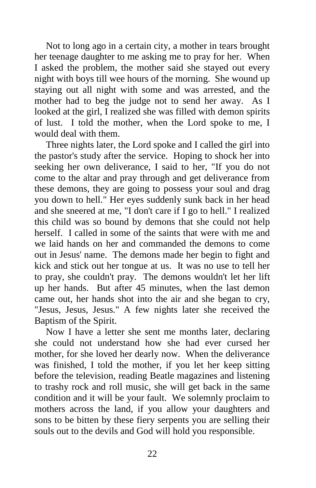Not to long ago in a certain city, a mother in tears brought her teenage daughter to me asking me to pray for her. When I asked the problem, the mother said she stayed out every night with boys till wee hours of the morning. She wound up staying out all night with some and was arrested, and the mother had to beg the judge not to send her away. As I looked at the girl, I realized she was filled with demon spirits of lust. I told the mother, when the Lord spoke to me, I would deal with them.

Three nights later, the Lord spoke and I called the girl into the pastor's study after the service. Hoping to shock her into seeking her own deliverance, I said to her, "If you do not come to the altar and pray through and get deliverance from these demons, they are going to possess your soul and drag you down to hell." Her eyes suddenly sunk back in her head and she sneered at me, "I don't care if I go to hell." I realized this child was so bound by demons that she could not help herself. I called in some of the saints that were with me and we laid hands on her and commanded the demons to come out in Jesus' name. The demons made her begin to fight and kick and stick out her tongue at us. It was no use to tell her to pray, she couldn't pray. The demons wouldn't let her lift up her hands. But after 45 minutes, when the last demon came out, her hands shot into the air and she began to cry, "Jesus, Jesus, Jesus." A few nights later she received the Baptism of the Spirit.

Now I have a letter she sent me months later, declaring she could not understand how she had ever cursed her mother, for she loved her dearly now. When the deliverance was finished, I told the mother, if you let her keep sitting before the television, reading Beatle magazines and listening to trashy rock and roll music, she will get back in the same condition and it will be your fault. We solemnly proclaim to mothers across the land, if you allow your daughters and sons to be bitten by these fiery serpents you are selling their souls out to the devils and God will hold you responsible.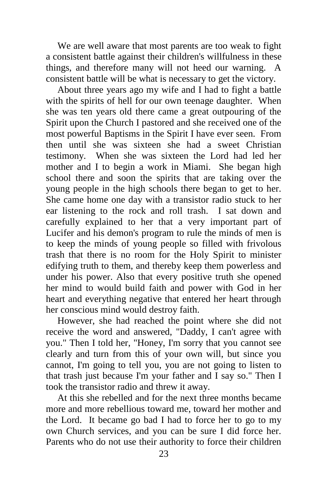We are well aware that most parents are too weak to fight a consistent battle against their children's willfulness in these things, and therefore many will not heed our warning. A consistent battle will be what is necessary to get the victory.

About three years ago my wife and I had to fight a battle with the spirits of hell for our own teenage daughter. When she was ten years old there came a great outpouring of the Spirit upon the Church I pastored and she received one of the most powerful Baptisms in the Spirit I have ever seen. From then until she was sixteen she had a sweet Christian testimony. When she was sixteen the Lord had led her mother and I to begin a work in Miami. She began high school there and soon the spirits that are taking over the young people in the high schools there began to get to her. She came home one day with a transistor radio stuck to her ear listening to the rock and roll trash. I sat down and carefully explained to her that a very important part of Lucifer and his demon's program to rule the minds of men is to keep the minds of young people so filled with frivolous trash that there is no room for the Holy Spirit to minister edifying truth to them, and thereby keep them powerless and under his power. Also that every positive truth she opened her mind to would build faith and power with God in her heart and everything negative that entered her heart through her conscious mind would destroy faith.

However, she had reached the point where she did not receive the word and answered, "Daddy, I can't agree with you." Then I told her, "Honey, I'm sorry that you cannot see clearly and turn from this of your own will, but since you cannot, I'm going to tell you, you are not going to listen to that trash just because I'm your father and I say so." Then I took the transistor radio and threw it away.

At this she rebelled and for the next three months became more and more rebellious toward me, toward her mother and the Lord. It became go bad I had to force her to go to my own Church services, and you can be sure I did force her. Parents who do not use their authority to force their children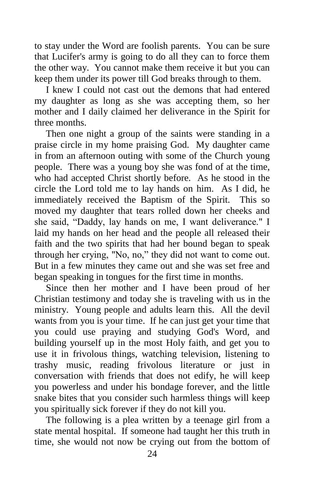to stay under the Word are foolish parents. You can be sure that Lucifer's army is going to do all they can to force them the other way. You cannot make them receive it but you can keep them under its power till God breaks through to them.

I knew I could not cast out the demons that had entered my daughter as long as she was accepting them, so her mother and I daily claimed her deliverance in the Spirit for three months.

Then one night a group of the saints were standing in a praise circle in my home praising God. My daughter came in from an afternoon outing with some of the Church young people. There was a young boy she was fond of at the time, who had accepted Christ shortly before. As he stood in the circle the Lord told me to lay hands on him. As I did, he immediately received the Baptism of the Spirit. This so moved my daughter that tears rolled down her cheeks and she said, "Daddy, lay hands on me, I want deliverance." I laid my hands on her head and the people all released their faith and the two spirits that had her bound began to speak through her crying, "No, no," they did not want to come out. But in a few minutes they came out and she was set free and began speaking in tongues for the first time in months.

Since then her mother and I have been proud of her Christian testimony and today she is traveling with us in the ministry. Young people and adults learn this. All the devil wants from you is your time. If he can just get your time that you could use praying and studying God's Word, and building yourself up in the most Holy faith, and get you to use it in frivolous things, watching television, listening to trashy music, reading frivolous literature or just in conversation with friends that does not edify, he will keep you powerless and under his bondage forever, and the little snake bites that you consider such harmless things will keep you spiritually sick forever if they do not kill you.

The following is a plea written by a teenage girl from a state mental hospital. If someone had taught her this truth in time, she would not now be crying out from the bottom of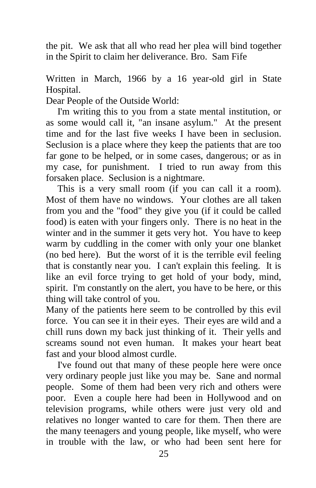the pit. We ask that all who read her plea will bind together in the Spirit to claim her deliverance. Bro. Sam Fife

Written in March, 1966 by a 16 year-old girl in State Hospital.

Dear People of the Outside World:

I'm writing this to you from a state mental institution, or as some would call it, "an insane asylum." At the present time and for the last five weeks I have been in seclusion. Seclusion is a place where they keep the patients that are too far gone to be helped, or in some cases, dangerous; or as in my case, for punishment. I tried to run away from this forsaken place. Seclusion is a nightmare.

This is a very small room (if you can call it a room). Most of them have no windows. Your clothes are all taken from you and the "food" they give you (if it could be called food) is eaten with your fingers only. There is no heat in the winter and in the summer it gets very hot. You have to keep warm by cuddling in the comer with only your one blanket (no bed here). But the worst of it is the terrible evil feeling that is constantly near you. I can't explain this feeling. It is like an evil force trying to get hold of your body, mind, spirit. I'm constantly on the alert, you have to be here, or this thing will take control of you.

Many of the patients here seem to be controlled by this evil force. You can see it in their eyes. Their eyes are wild and a chill runs down my back just thinking of it. Their yells and screams sound not even human. It makes your heart beat fast and your blood almost curdle.

I've found out that many of these people here were once very ordinary people just like you may be. Sane and normal people. Some of them had been very rich and others were poor. Even a couple here had been in Hollywood and on television programs, while others were just very old and relatives no longer wanted to care for them. Then there are the many teenagers and young people, like myself, who were in trouble with the law, or who had been sent here for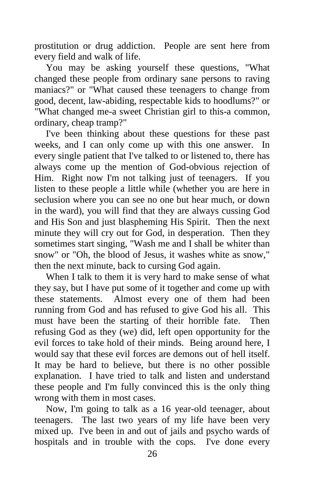prostitution or drug addiction. People are sent here from every field and walk of life.

You may be asking yourself these questions, "What changed these people from ordinary sane persons to raving maniacs?" or "What caused these teenagers to change from good, decent, law-abiding, respectable kids to hoodlums?" or "What changed me-a sweet Christian girl to this-a common, ordinary, cheap tramp?"

I've been thinking about these questions for these past weeks, and I can only come up with this one answer. In every single patient that I've talked to or listened to, there has always come up the mention of God-obvious rejection of Him. Right now I'm not talking just of teenagers. If you listen to these people a little while (whether you are here in seclusion where you can see no one but hear much, or down in the ward), you will find that they are always cussing God and His Son and just blaspheming His Spirit. Then the next minute they will cry out for God, in desperation. Then they sometimes start singing, "Wash me and I shall be whiter than snow" or "Oh, the blood of Jesus, it washes white as snow," then the next minute, back to cursing God again.

When I talk to them it is very hard to make sense of what they say, but I have put some of it together and come up with these statements. Almost every one of them had been running from God and has refused to give God his all. This must have been the starting of their horrible fate. Then refusing God as they (we) did, left open opportunity for the evil forces to take hold of their minds. Being around here, I would say that these evil forces are demons out of hell itself. It may be hard to believe, but there is no other possible explanation. I have tried to talk and listen and understand these people and I'm fully convinced this is the only thing wrong with them in most cases.

Now, I'm going to talk as a 16 year-old teenager, about teenagers. The last two years of my life have been very mixed up. I've been in and out of jails and psycho wards of hospitals and in trouble with the cops. I've done every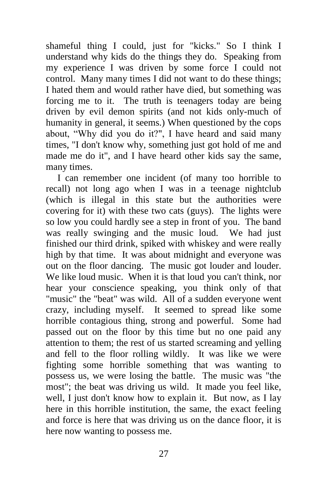shameful thing I could, just for "kicks." So I think I understand why kids do the things they do. Speaking from my experience I was driven by some force I could not control. Many many times I did not want to do these things; I hated them and would rather have died, but something was forcing me to it. The truth is teenagers today are being driven by evil demon spirits (and not kids only-much of humanity in general, it seems.) When questioned by the cops about, "Why did you do it?", I have heard and said many times, "I don't know why, something just got hold of me and made me do it", and I have heard other kids say the same, many times.

I can remember one incident (of many too horrible to recall) not long ago when I was in a teenage nightclub (which is illegal in this state but the authorities were covering for it) with these two cats (guys). The lights were so low you could hardly see a step in front of you. The band was really swinging and the music loud. We had just finished our third drink, spiked with whiskey and were really high by that time. It was about midnight and everyone was out on the floor dancing. The music got louder and louder. We like loud music. When it is that loud you can't think, nor hear your conscience speaking, you think only of that "music" the "beat" was wild. All of a sudden everyone went crazy, including myself. It seemed to spread like some horrible contagious thing, strong and powerful. Some had passed out on the floor by this time but no one paid any attention to them; the rest of us started screaming and yelling and fell to the floor rolling wildly. It was like we were fighting some horrible something that was wanting to possess us, we were losing the battle. The music was "the most"; the beat was driving us wild. It made you feel like, well, I just don't know how to explain it. But now, as I lay here in this horrible institution, the same, the exact feeling and force is here that was driving us on the dance floor, it is here now wanting to possess me.